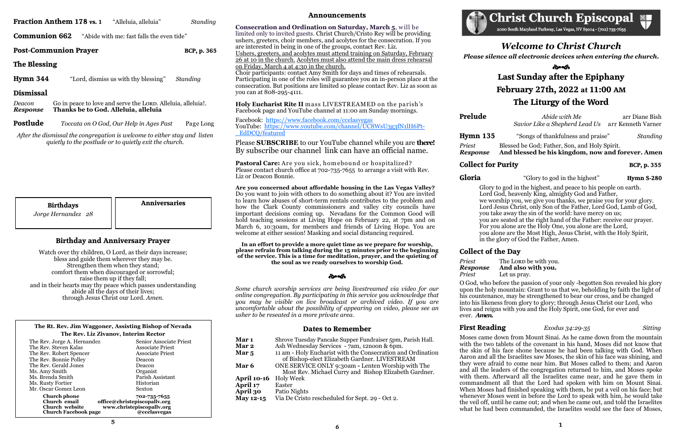|                           | <b>Fraction Anthem 178 vs. 1</b> | "Alleluia, alleluia"                                                                                                                | Standing    |
|---------------------------|----------------------------------|-------------------------------------------------------------------------------------------------------------------------------------|-------------|
| <b>Communion 662</b>      |                                  | "Abide with me: fast falls the even tide"                                                                                           |             |
|                           | <b>Post-Communion Prayer</b>     |                                                                                                                                     | BCP, p. 365 |
| The Blessing              |                                  |                                                                                                                                     |             |
| Hymn 344                  |                                  | "Lord, dismiss us with thy blessing"                                                                                                | Standing    |
| <b>Dismissal</b>          |                                  |                                                                                                                                     |             |
| Deacon<br><b>Response</b> |                                  | Go in peace to love and serve the LORD. Alleluia, alleluia!.<br>Thanks be to God. Alleluia, alleluia                                |             |
| <b>Postlude</b>           |                                  | Toccata on O God, Our Help in Ages Past                                                                                             | Page Long   |
|                           |                                  | After the dismissal the congregation is welcome to either stay and listen<br>quietly to the postlude or to quietly exit the church. |             |

**Consecration and Ordination on Saturday, March 5, will be** limited only to invited guests. Christ Church/Cristo Rey will be providing ushers, greeters, choir members, and acolytes for the consecration. If you are interested in being in one of the groups, contact Rev. Liz.

# **Announcements**

Pastoral Care: Are you sick, homebound or hospitalized? Please contact church office at 702-735-7655 to arrange a visit with Rev. Liz or Deacon Bonnie.

Ushers, greeters, and acolytes must attend training on Saturday, February 26 at 10 in the church. Acolytes must also attend the main dress rehearsal on Friday, March 4 at 4:30 in the church.

Choir participants: contact Amy Smith for days and times of rehearsals. Participating in one of the roles will guarantee you an in-person place at the consecration. But positions are limited so please contact Rev. Liz as soon as you can at 808-295-4111.

**Holy Eucharist Rite II** m ass LIVESTREAMED on the parish's Facebook page and YouTube channel at 11:00 am Sunday mornings.

Facebook: <https://www.facebook.com/ccelasvegas> YouTube: [https://www.youtube.com/channel/UC8WsU3g3fN1lH6Pt](https://www.youtube.com/channel/UC8WsU3g3fN1lH6Pt-_EdDCQ/featured)-[\\_EdDCQ/featured](https://www.youtube.com/channel/UC8WsU3g3fN1lH6Pt-_EdDCQ/featured)

Please **SUBSCRIBE** to our YouTube channel while you are **there!**  By subscribe our channel link can have an official name.

| <b>Birthdays</b><br>Jorge Hernandez 28 | <b>Anniversaries</b> |
|----------------------------------------|----------------------|
|                                        |                      |

**Are you concerned about affordable housing in the Las Vegas Valley?** Do you want to join with others to do something about it? You are invited to learn how abuses of short-term rentals contributes to the problem and how the Clark County commissioners and valley city councils have important decisions coming up. Nevadans for the Common Good will hold teaching sessions at Living Hope on February 22, at 7pm and on March 6, 10:30am, for members and friends of Living Hope. You are welcome at either session! Masking and social distancing required.

# సౌత **Last Sunday after the Epiphany February 27th, 2022 at 11:00 AM The Liturgy of the Word**

**Prelude** *<i>Abide with Me* **arr Diane Bish**  *Savior Like a Shepherd Lead Us* arr Kenneth Varner

**In an effort to provide a more quiet time as we prepare for worship, please refrain from talking during the 15 minutes prior to the beginning of the service. This is a time for meditation, prayer, and the quieting of the soul as we ready ourselves to worship God.**

సౌత



*Some church worship services are being livestreamed via video for our online congregation. By participating in this service you acknowledge that you may be visible on live broadcast or archived video. If you are uncomfortable about the possibility of appearing on video, please see an usher to be reseated in a more private area.*

# **Dates to Remember**

**Mar 1** Shrove Tuesday Pancake Supper Fundraiser 5pm, Parish Hall. **Mar 2** Ash Wednesday Services - 7am, 12noon & 6pm. **Mar 5** 11 am - Holy Eucharist with the Consecration and Ordination of Bishop-elect Elizabeth Gardner. LIVESTREAM **Mar 6** ONE SERVICE ONLY 9:30am **-** Lenten Worship with The Most Rev. Michael Curry and Bishop Elizabeth Gardner. **April 10-16** Holy Week<br>**April 17** Easter **April 17 April 30** Patio Nights **May 12-15** Via De Cristo rescheduled for Sept. 29 - Oct 2.

2000 South Maryland Parkway, Las Vegas, NV 89104 - (702) 735-7655

# **Birthday and Anniversary Prayer**

Watch over thy children, O Lord, as their days increase; bless and guide them wherever they may be. Strengthen them when they stand; comfort them when discouraged or sorrowful; raise them up if they fall; and in their hearts may thy peace which passes understanding abide all the days of their lives; through Jesus Christ our Lord. *Amen.*

### **The Rt. Rev. Jim Waggoner, Assisting Bishop of Nevada The Rev. Liz Zivanov, Interim Rector**

| The Rev. Jorge A. Hernandez                                                          | Senior Associate Priest                                                                   |
|--------------------------------------------------------------------------------------|-------------------------------------------------------------------------------------------|
| The Rev. Steven Kalas                                                                | <b>Associate Priest</b>                                                                   |
| The Rev. Robert Spencer                                                              | <b>Associate Priest</b>                                                                   |
| The Rev. Bonnie Polley                                                               | Deacon                                                                                    |
| The Rev. Gerald Jones                                                                | Deacon                                                                                    |
| Ms. Amy Smith                                                                        | Organist                                                                                  |
| Ms. Brenda Smith                                                                     | Parish Assistant                                                                          |
| Ms. Rusty Fortier                                                                    | Historian                                                                                 |
| Mr. Oscar Gomez Leon                                                                 | Sexton                                                                                    |
| <b>Church phone</b><br>Church email<br>Church website<br><b>Church Facebook page</b> | 702-735-7655<br>office@christepiscopallv.org<br>www.christepiscopallv.org<br>@ccelasvegas |

*Welcome to Christ Church*

### *Please silence all electronic devices when entering the church.*

**Hymn 135** "Songs of thankfulness and praise" *Standing*

*Priest* Blessed be God; Father, Son, and Holy Spirit. *Response* **And blessed be his kingdom, now and forever. Amen**

**Gloria** "Glory to god in the highest" **Hymn S-280**

*Priest* The LORD be with you.

Glory to god in the highest, and peace to his people on earth. Lord God, heavenly King, almighty God and Father, we worship you, we give you thanks, we praise you for your glory. Lord Jesus Christ, only Son of the Father, Lord God, Lamb of God, you take away the sin of the world: have mercy on us; you are seated at the right hand of the Father: receive our prayer. For you alone are the Holy One, you alone are the Lord, you alone are the Most High, Jesus Christ, with the Holy Spirit, in the glory of God the Father, Amen.

# **Collect of the Day**

### *Response* **And also with you.**

**Collect for Purity BCP, p. 355** 

*Priest* Let us pray.

O God, who before the passion of your only begotten Son revealed his glory upon the holy mountain: Grant to us that we, beholding by faith the light of his countenance, may be strengthened to bear our cross, and be changed into his likeness from glory to glory; through Jesus Christ our Lord, who lives and reigns with you and the Holy Spirit, one God, for ever and ever. *Amen.*

# **First Reading** *Exodus 34:29-35 Sitting*

Moses came down from Mount Sinai. As he came down from the mountain with the two tablets of the covenant in his hand, Moses did not know that the skin of his face shone because he had been talking with God. When Aaron and all the Israelites saw Moses, the skin of his face was shining, and they were afraid to come near him. But Moses called to them; and Aaron and all the leaders of the congregation returned to him, and Moses spoke with them. Afterward all the Israelites came near, and he gave them in commandment all that the Lord had spoken with him on Mount Sinai. When Moses had finished speaking with them, he put a veil on his face; but whenever Moses went in before the Lord to speak with him, he would take the veil off, until he came out; and when he came out, and told the Israelites what he had been commanded, the Israelites would see the face of Moses,